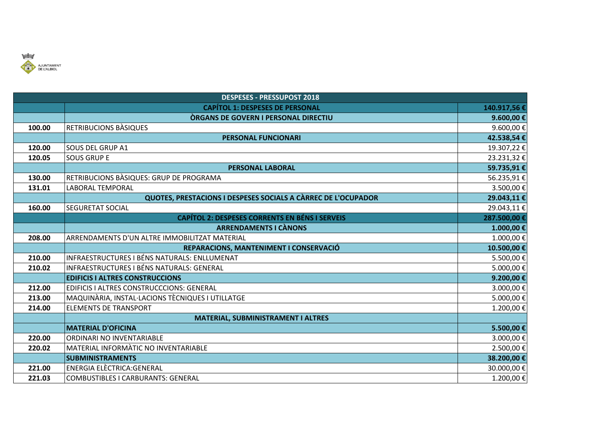

|        | <b>DESPESES - PRESSUPOST 2018</b>                             |              |  |
|--------|---------------------------------------------------------------|--------------|--|
|        | <b>CAPÍTOL 1: DESPESES DE PERSONAL</b>                        | 140.917,56 € |  |
|        | <b>ORGANS DE GOVERN I PERSONAL DIRECTIU</b>                   | 9.600,00 €   |  |
| 100.00 | RETRIBUCIONS BÀSIQUES                                         | 9.600,00€    |  |
|        | <b>PERSONAL FUNCIONARI</b>                                    | 42.538,54 €  |  |
| 120.00 | <b>SOUS DEL GRUP A1</b>                                       | 19.307,22€   |  |
| 120.05 | <b>SOUS GRUP E</b>                                            | 23.231,32€   |  |
|        | <b>PERSONAL LABORAL</b>                                       | 59.735,91€   |  |
| 130.00 | RETRIBUCIONS BÀSIQUES: GRUP DE PROGRAMA                       | 56.235,91€   |  |
| 131.01 | LABORAL TEMPORAL                                              | 3.500,00€    |  |
|        | QUOTES, PRESTACIONS I DESPESES SOCIALS A CÀRREC DE L'OCUPADOR | 29.043,11€   |  |
| 160.00 | <b>SEGURETAT SOCIAL</b>                                       | 29.043,11€   |  |
|        | <b>CAPÍTOL 2: DESPESES CORRENTS EN BÉNS I SERVEIS</b>         | 287.500,00€  |  |
|        | <b>ARRENDAMENTS I CÀNONS</b>                                  | 1.000,00 €   |  |
| 208.00 | ARRENDAMENTS D'UN ALTRE IMMOBILITZAT MATERIAL                 | $1.000,00$ € |  |
|        | REPARACIONS, MANTENIMENT I CONSERVACIÓ                        | 10.500,00€   |  |
| 210.00 | <b>INFRAESTRUCTURES I BÉNS NATURALS: ENLLUMENAT</b>           | 5.500,00€    |  |
| 210.02 | INFRAESTRUCTURES I BÉNS NATURALS: GENERAL                     | 5.000,00€    |  |
|        | <b>EDIFICIS I ALTRES CONSTRUCCIONS</b>                        | 9.200,00€    |  |
| 212.00 | EDIFICIS I ALTRES CONSTRUCCCIONS: GENERAL                     | 3.000,00€    |  |
| 213.00 | MAQUINÀRIA, INSTAL·LACIONS TÈCNIQUES I UTILLATGE              | 5.000,00€    |  |
| 214.00 | <b>ELEMENTS DE TRANSPORT</b>                                  | 1.200,00€    |  |
|        | MATERIAL, SUBMINISTRAMENT I ALTRES                            |              |  |
|        | <b>MATERIAL D'OFICINA</b>                                     | 5.500,00€    |  |
| 220.00 | ORDINARI NO INVENTARIABLE                                     | 3.000,00€    |  |
| 220.02 | MATERIAL INFORMATIC NO INVENTARIABLE                          | 2.500,00€    |  |
|        | <b>SUBMINISTRAMENTS</b>                                       | 38.200,00 €  |  |
| 221.00 | <b>ENERGIA ELÈCTRICA:GENERAL</b>                              | 30.000,00€   |  |
| 221.03 | <b>COMBUSTIBLES I CARBURANTS: GENERAL</b>                     | 1.200,00€    |  |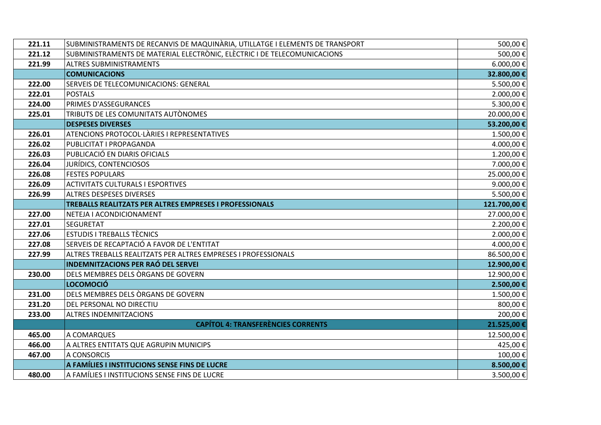| 221.11 | SUBMINISTRAMENTS DE RECANVIS DE MAQUINÀRIA, UTILLATGE I ELEMENTS DE TRANSPORT | 500,00€      |
|--------|-------------------------------------------------------------------------------|--------------|
| 221.12 | SUBMINISTRAMENTS DE MATERIAL ELECTRÒNIC, ELÈCTRIC I DE TELECOMUNICACIONS      | 500,00€      |
| 221.99 | <b>ALTRES SUBMINISTRAMENTS</b>                                                | 6.000,00€    |
|        | <b>COMUNICACIONS</b>                                                          | 32.800,00 €  |
| 222.00 | SERVEIS DE TELECOMUNICACIONS: GENERAL                                         | 5.500,00€    |
| 222.01 | <b>POSTALS</b>                                                                | 2.000,00€    |
| 224.00 | PRIMES D'ASSEGURANCES                                                         | 5.300,00€    |
| 225.01 | TRIBUTS DE LES COMUNITATS AUTÒNOMES                                           | 20.000,00€   |
|        | <b>DESPESES DIVERSES</b>                                                      | 53.200,00 €  |
| 226.01 | ATENCIONS PROTOCOL·LÀRIES I REPRESENTATIVES                                   | 1.500,00€    |
| 226.02 | PUBLICITAT I PROPAGANDA                                                       | 4.000,00€    |
| 226.03 | PUBLICACIÓ EN DIARIS OFICIALS                                                 | 1.200,00€    |
| 226.04 | JURÍDICS, CONTENCIOSOS                                                        | 7.000,00€    |
| 226.08 | <b>FESTES POPULARS</b>                                                        | 25.000,00€   |
| 226.09 | <b>ACTIVITATS CULTURALS I ESPORTIVES</b>                                      | 9.000,00€    |
| 226.99 | <b>ALTRES DESPESES DIVERSES</b>                                               | 5.500,00€    |
|        | TREBALLS REALITZATS PER ALTRES EMPRESES I PROFESSIONALS                       | 121.700,00 € |
| 227.00 | NETEJA I ACONDICIONAMENT                                                      | 27.000,00€   |
| 227.01 | <b>SEGURETAT</b>                                                              | 2.200,00€    |
| 227.06 | <b>ESTUDIS I TREBALLS TÈCNICS</b>                                             | 2.000,00€    |
| 227.08 | SERVEIS DE RECAPTACIÓ A FAVOR DE L'ENTITAT                                    | 4.000,00€    |
| 227.99 | ALTRES TREBALLS REALITZATS PER ALTRES EMPRESES I PROFESSIONALS                | 86.500,00€   |
|        | <b>INDEMNITZACIONS PER RAÓ DEL SERVEI</b>                                     | 12.900,00€   |
| 230.00 | DELS MEMBRES DELS ORGANS DE GOVERN                                            | 12.900,00€   |
|        | <b>LOCOMOCIÓ</b>                                                              | 2.500,00 €   |
| 231.00 | DELS MEMBRES DELS ORGANS DE GOVERN                                            | 1.500,00€    |
| 231.20 | DEL PERSONAL NO DIRECTIU                                                      | 800,00€      |
| 233.00 | ALTRES INDEMNITZACIONS                                                        | 200,00€      |
|        | <b>CAPÍTOL 4: TRANSFERÈNCIES CORRENTS</b>                                     | 21.525,00 €  |
| 465.00 | A COMARQUES                                                                   | 12.500,00€   |
| 466.00 | A ALTRES ENTITATS QUE AGRUPIN MUNICIPS                                        | 425,00€      |
| 467.00 | A CONSORCIS                                                                   | 100,00€      |
|        | A FAMÍLIES I INSTITUCIONS SENSE FINS DE LUCRE                                 | 8.500,00 €   |
| 480.00 | A FAMÍLIES I INSTITUCIONS SENSE FINS DE LUCRE                                 | 3.500,00€    |